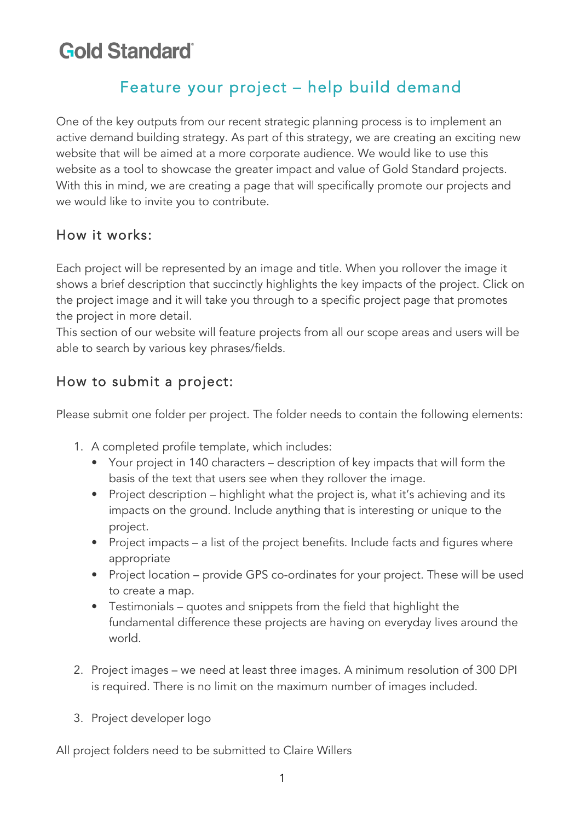# **Gold Standard**

## Feature your project – help build demand

One of the key outputs from our recent strategic planning process is to implement an active demand building strategy. As part of this strategy, we are creating an exciting new website that will be aimed at a more corporate audience. We would like to use this website as a tool to showcase the greater impact and value of Gold Standard projects. With this in mind, we are creating a page that will specifically promote our projects and we would like to invite you to contribute.

#### How it works:

Each project will be represented by an image and title. When you rollover the image it shows a brief description that succinctly highlights the key impacts of the project. Click on the project image and it will take you through to a specific project page that promotes the project in more detail.

This section of our website will feature projects from all our scope areas and users will be able to search by various key phrases/fields.

### How to submit a project:

Please submit one folder per project. The folder needs to contain the following elements:

- 1. A completed profile template, which includes:
	- Your project in 140 characters description of key impacts that will form the basis of the text that users see when they rollover the image.
	- Project description highlight what the project is, what it's achieving and its impacts on the ground. Include anything that is interesting or unique to the project.
	- Project impacts a list of the project benefits. Include facts and figures where appropriate
	- Project location provide GPS co-ordinates for your project. These will be used to create a map.
	- Testimonials quotes and snippets from the field that highlight the fundamental difference these projects are having on everyday lives around the world.
- 2. Project images we need at least three images. A minimum resolution of 300 DPI is required. There is no limit on the maximum number of images included.
- 3. Project developer logo

All project folders need to be submitted to Claire Willers